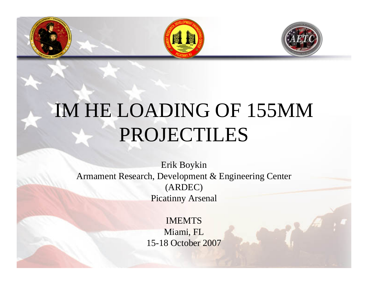



# IM HE LOADING OF 155MM PROJECTILES

Erik Boykin Armament Research, Development & Engineering Center (ARDEC) Picatinny Arsenal

> IMEMTSMiami, FL 15-18 October 2007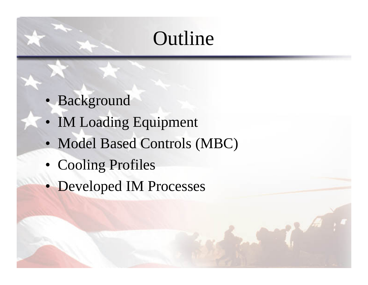### Outline

- Background
- IM Loading Equipment
- Model Based Controls (MBC)
- Cooling Profiles
- Developed IM Processes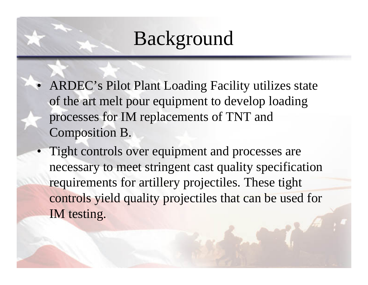### Background

- ARDEC's Pilot Plant Loading Facility utilizes state of the art melt pour equipment to develop loading processes for IM replacements of TNT and Composition B.
- Tight controls over equipment and processes are necessary to meet stringent cast quality specification requirements for artillery projectiles. These tight controls yield quality projectiles that can be used for IM testing.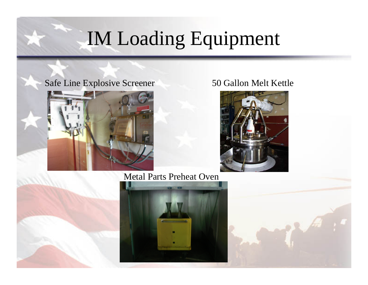# IM Loading Equipment

#### Safe Line Explosive Screener 50 Gallon Melt Kettle





Metal Parts Preheat Oven



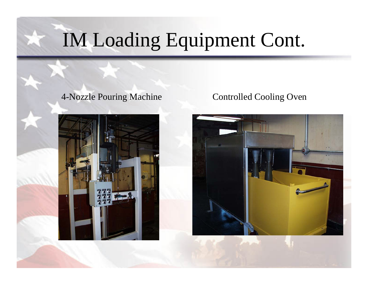# IM Loading Equipment Cont.

#### 4-Nozzle Pouring Machine Controlled Cooling Oven



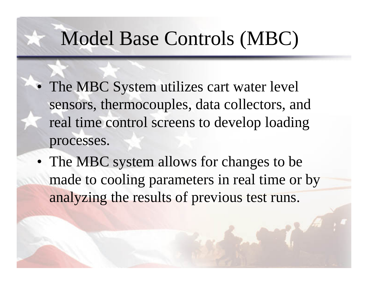#### Model Base Controls (MBC)

- The MBC System utilizes cart water level sensors, thermocouples, data collectors, and real time control screens to develop loading processes.
- The MBC system allows for changes to be made to cooling parameters in real time or by analyzing the results of previous test runs.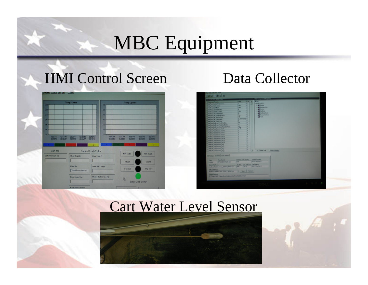## MBC Equipment

#### HMI Control Screen Data Collector

| 230                                                                                                    | <b>Temp Lower</b>                            | 230                                                                                       | <b>Temp Upper</b>                            |                                             |  |  |  |  |  |
|--------------------------------------------------------------------------------------------------------|----------------------------------------------|-------------------------------------------------------------------------------------------|----------------------------------------------|---------------------------------------------|--|--|--|--|--|
| 220<br>210<br>200<br>190<br>180 <sub>1</sub><br>$170 -$<br>0206 PM<br>02:07 PM<br>08/30/07<br>08/30/07 | 02:08 PM<br>02:09 PM<br>08/30/07<br>08/30/07 | 220<br>210<br>200<br>190<br>180<br>$170 -$<br>02:06 PM<br>0210 PM<br>08/30/07<br>08/30/07 | 02:07 PM<br>02:08 PM<br>08/30/07<br>08/30/07 | 0210 PM<br>02:09 PM<br>08/30/07<br>08/30/07 |  |  |  |  |  |
| Cart Info                                                                                              |                                              | 5<br><b>Purdue Model Control</b>                                                          |                                              | 13                                          |  |  |  |  |  |
| Cart Water Height [in]                                                                                 | Model Height [in]                            | Model Temp (F)                                                                            | <b>MBC</b> Enable                            | <b>MBC Dirable</b>                          |  |  |  |  |  |
|                                                                                                        |                                              |                                                                                           | Fil Cart                                     | Stop Fill                                   |  |  |  |  |  |
|                                                                                                        | <b>Model File</b>                            | Model Run Time (hr)                                                                       |                                              | Stop Drain<br>Surge Limit Switch            |  |  |  |  |  |
|                                                                                                        | C:\MeltPourModel.xls                         |                                                                                           | <b>Drain Cart</b>                            |                                             |  |  |  |  |  |
|                                                                                                        |                                              |                                                                                           |                                              |                                             |  |  |  |  |  |
|                                                                                                        | <b>Model Current Step</b>                    | Model Total Run Time (hr)                                                                 | $\mathbb{R}$                                 |                                             |  |  |  |  |  |

| a Collectuso, Brenoc.                                                                           |                                 |               |   | NBI Companied Registry                  |  |  |  |
|-------------------------------------------------------------------------------------------------|---------------------------------|---------------|---|-----------------------------------------|--|--|--|
| Contractor of Party                                                                             | <b>Voke</b>                     | <b>ANT</b>    | ▣ | Dille                                   |  |  |  |
| <b>Northern Carl Carl Liste Service</b>                                                         | ×                               |               | ш | <b>A SP R. NIRTO</b>                    |  |  |  |
| <b>Northern Carl Thernie Int</b>                                                                | <b>Calve</b>                    | ٠             |   | <b>Will Purchase</b>                    |  |  |  |
| <b>Market Ave Dear Printers</b>                                                                 | <b>Cable</b>                    | ٠             |   | <b>W. B. Punches Lack of</b>            |  |  |  |
| <b>Shelffart (a) surface</b>                                                                    | ×                               |               |   | <b>B. B. Cordon</b>                     |  |  |  |
| March 2 (MA 147) such against                                                                   | False                           | ۰             |   | <b>WARTON</b>                           |  |  |  |
| <b>Mail I And Car Controlled Ave.</b>                                                           | 獅                               | u             |   | <b>Wallace Wallace</b>                  |  |  |  |
| Made Town Class Support and Small of                                                            | <b>Target</b>                   | u             |   | <b>A Receptionism</b>                   |  |  |  |
| Modifican Cast TempSonFloor                                                                     | 135                             |               |   | <b>A Took</b>                           |  |  |  |
| <b>Madrida Call Information</b>                                                                 | 227543947 W                     |               |   |                                         |  |  |  |
| strait final Cast In later Terrary                                                              |                                 |               |   |                                         |  |  |  |
| <b>Netfins Cool from Parenthisal and</b>                                                        | w                               | u             |   |                                         |  |  |  |
| Mar Bootham Farahaud and                                                                        | 113                             | u             |   |                                         |  |  |  |
| <b>Madridge Cloud Trees Cloud and Informational and Integrated</b>                              | b N                             | w             |   |                                         |  |  |  |
| <b>Marine Templement Text!</b>                                                                  |                                 | w             |   |                                         |  |  |  |
| <b>Shariff propriational authority</b>                                                          |                                 | w             |   |                                         |  |  |  |
| Hell mechani artist                                                                             |                                 | w             |   |                                         |  |  |  |
| Matthew Templement Text12                                                                       |                                 | w             |   |                                         |  |  |  |
| <b>Und moniquel address</b>                                                                     |                                 | w             |   |                                         |  |  |  |
| Matt <sup>h</sup> oa Targotanoon Tast14                                                         |                                 | w             |   |                                         |  |  |  |
| <b>Mark more Terry Text Search</b>                                                              |                                 | w             |   |                                         |  |  |  |
| Madrison TempConsum Text16                                                                      |                                 | w             |   |                                         |  |  |  |
| Matrice Templement Text2                                                                        |                                 | w             |   |                                         |  |  |  |
| Matrice Templement Text3                                                                        |                                 | w             |   |                                         |  |  |  |
| <b>Madridge Templement Text4</b>                                                                |                                 | w             |   |                                         |  |  |  |
| <b>Rivell announced particular</b>                                                              |                                 | w             |   | *   DCLibrates Drip   Refrank Libraries |  |  |  |
|                                                                                                 |                                 |               |   |                                         |  |  |  |
| <b>INC Semige DC State   Edite Options  </b>                                                    |                                 |               |   |                                         |  |  |  |
| Time Started<br><b>State</b>                                                                    | <b>Collection Rate ASL Fel:</b> |               |   | Sausan Dauden                           |  |  |  |
| <b>STATISTICS STATE</b><br><b>Located</b>                                                       | 48.5                            |               |   | Day 26, 1984, 523, 471                  |  |  |  |
|                                                                                                 | <b>BLINK</b>                    | EVA Size (AS) |   | File Duration                           |  |  |  |
| <b>Current File Name</b>                                                                        | 30.53<br>844                    |               |   | Ltd. N. 1084 926 411                    |  |  |  |
| Analfour/and La Tempo, (1991), (8547) cm                                                        |                                 |               |   |                                         |  |  |  |
| <b>Flass Counsel (1)</b>                                                                        |                                 |               |   |                                         |  |  |  |
| Holly 1980, 1980 or payed advised purchased                                                     | ч                               | (ber Rates)   |   |                                         |  |  |  |
|                                                                                                 |                                 |               |   |                                         |  |  |  |
| <b>Dulput Description</b><br>C. Whatever Will, Project Cape Collector Walt Touchair To Larger's |                                 |               |   |                                         |  |  |  |
|                                                                                                 |                                 |               |   |                                         |  |  |  |
|                                                                                                 |                                 |               |   |                                         |  |  |  |

#### Cart Water Level Sensor

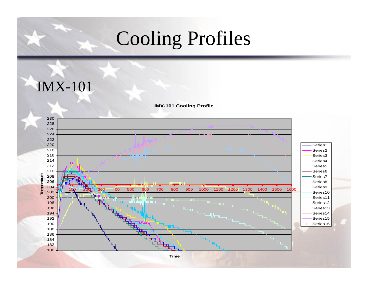## Cooling Profiles

#### IMX-101

**IMX-101 Cooling Profile**

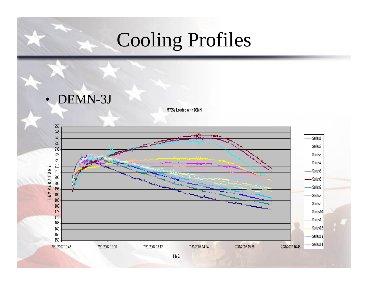### Cooling Profiles

• DEMN-3J

**M795s Loaded with DEMN**